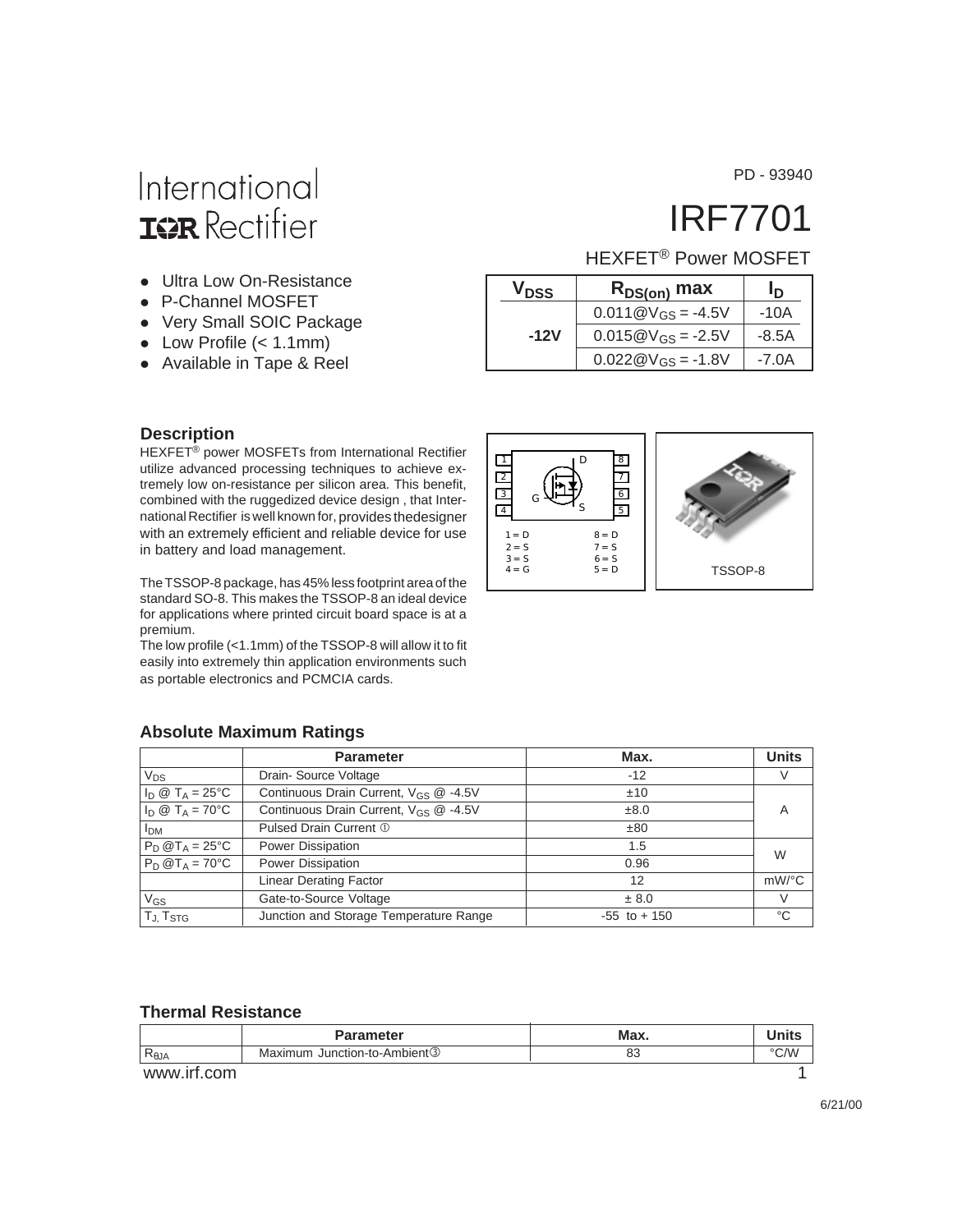International **ISR** Rectifier

- Ultra Low On-Resistance
- P-Channel MOSFET
- Very Small SOIC Package
- $\bullet$  Low Profile (< 1.1mm)
- Available in Tape & Reel

PD - 93940

# IRF7701

TSSOP-8

### HEXFET® Power MOSFET

|  | V <sub>DSS</sub><br>$R_{DS(on)}$ max |                        | In.     |
|--|--------------------------------------|------------------------|---------|
|  |                                      | $0.011@V_{GS} = -4.5V$ | -10A    |
|  | -12V                                 | $0.015@V_{GS} = -2.5V$ | -8.5A   |
|  |                                      | $0.022@V_{GS} = -1.8V$ | $-7.0A$ |

#### **Description**

HEXFET® power MOSFETs from International Rectifier utilize advanced processing techniques to achieve extremely low on-resistance per silicon area. This benefit, combined with the ruggedized device design , that International Rectifier is well known for, provides thedesigner with an extremely efficient and reliable device for use in battery and load management.

The TSSOP-8 package, has 45% less footprint area of the standard SO-8. This makes the TSSOP-8 an ideal device for applications where printed circuit board space is at a premium.

The low profile (<1.1mm) of the TSSOP-8 will allow it to fit easily into extremely thin application environments such as portable electronics and PCMCIA cards.

#### **Absolute Maximum Ratings**

|                                                          | <b>Parameter</b>                                  | Max.            | <b>Units</b> |
|----------------------------------------------------------|---------------------------------------------------|-----------------|--------------|
| $V_{DS}$                                                 | Drain-Source Voltage                              | $-12$           | V            |
| $I_{\text{D}} \otimes T_{\text{A}} = 25^{\circ}\text{C}$ | Continuous Drain Current, V <sub>GS</sub> @ -4.5V | ±10             |              |
| $I_D \otimes T_A = 70^{\circ}C$                          | Continuous Drain Current, $V_{GS}$ @ -4.5V        | ±8.0            | A            |
| <b>I</b> <sub>DM</sub>                                   | Pulsed Drain Current 1                            | ±80             |              |
| $P_D @T_A = 25°C$                                        | Power Dissipation                                 | 1.5             | W            |
| $\overline{P_D \otimes T_A}$ = 70°C                      | Power Dissipation                                 | 0.96            |              |
|                                                          | <b>Linear Derating Factor</b>                     | 12              | $mW$ /°C     |
| $V_{GS}$                                                 | Gate-to-Source Voltage                            | ± 8.0           | $\vee$       |
| TJ, T <sub>STG</sub>                                     | Junction and Storage Temperature Range            | $-55$ to $+150$ | °C           |

 $4 \equiv G$  $3 = S$  $2 = S$  $1 = D$ 

G

D

S 5  $\overline{6}$ 7 8

> $8 = D$  $7 = S$  $6 = S$  $5 = D$

#### **Thermal Resistance**

|                | <b>Parameter</b>             | Max. |      |
|----------------|------------------------------|------|------|
| $R_{\theta$ JA | Maximum Junction-to-Ambient3 | οJ   | °C/W |
| $\mu$          |                              |      |      |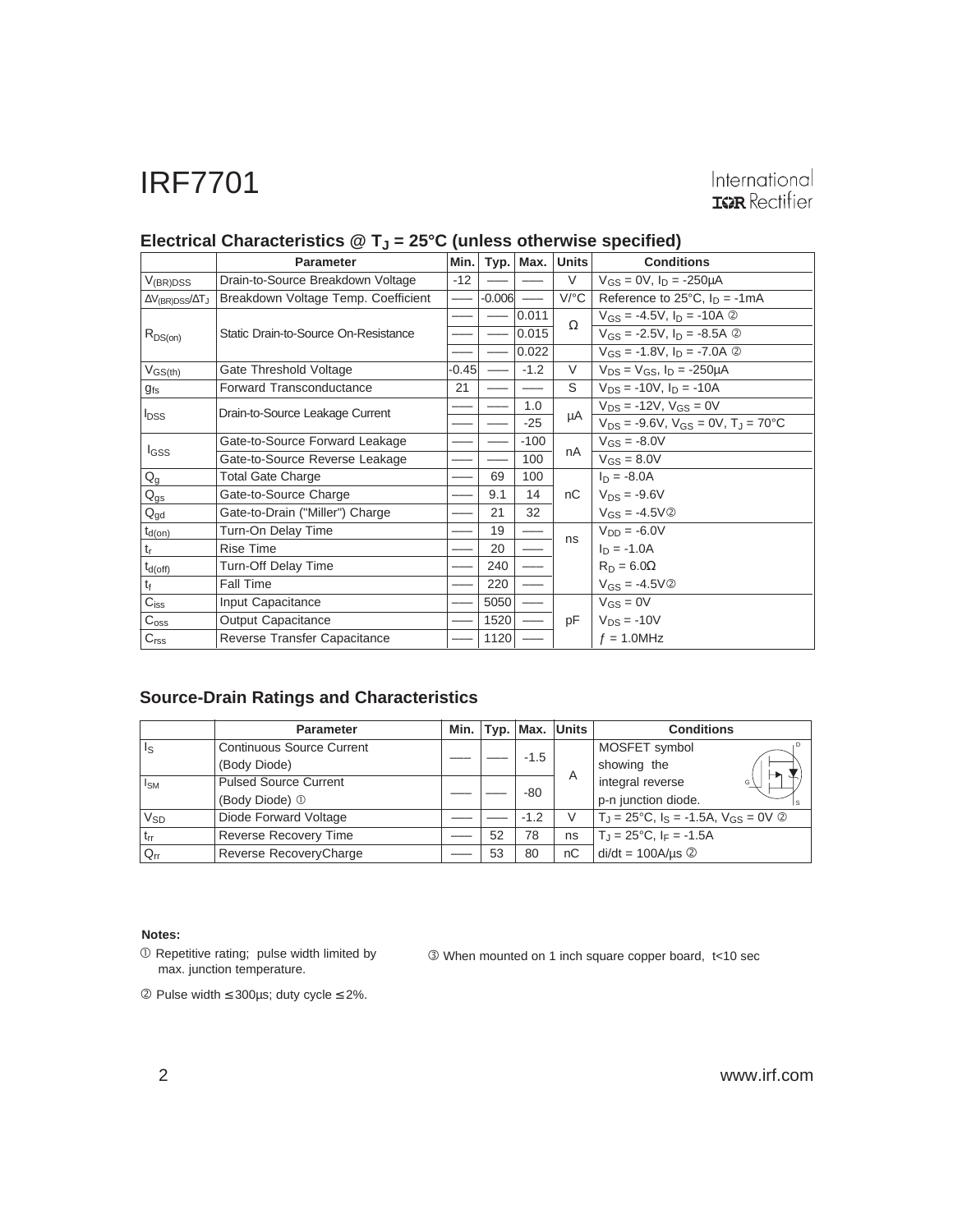# International<br>TRR Rectifier

|                                     | <b>Parameter</b>                     | Min.    |          | Typ.   Max. | <b>Units</b>         | <b>Conditions</b>                                                   |
|-------------------------------------|--------------------------------------|---------|----------|-------------|----------------------|---------------------------------------------------------------------|
| $V_{(BR)DSS}$                       | Drain-to-Source Breakdown Voltage    | $-12$   |          |             | $\vee$               | $V_{GS} = 0V$ , $I_D = -250 \mu A$                                  |
| $\Delta V_{\rm (BR)DSS}/\Delta T_J$ | Breakdown Voltage Temp. Coefficient  |         | $-0.006$ |             | $V$ <sup>o</sup> $C$ | Reference to 25 $^{\circ}$ C, $I_D = -1$ mA                         |
|                                     |                                      |         |          | 0.011       | Ω                    | $V_{GS} = -4.5V$ , $I_D = -10A$ 2                                   |
| $R_{DS(on)}$                        | Static Drain-to-Source On-Resistance |         |          | 0.015       |                      | $V_{GS} = -2.5V$ , $I_D = -8.5A$ 2                                  |
|                                     |                                      |         |          | 0.022       |                      | $V_{GS} = -1.8V$ , $I_D = -7.0A$ 2                                  |
| $V_{GS(th)}$                        | Gate Threshold Voltage               | $-0.45$ |          | $-1.2$      | V                    | $V_{DS} = V_{GS}$ , $I_D = -250 \mu A$                              |
| $g_{fs}$                            | Forward Transconductance             | 21      |          |             | S                    | $V_{DS} = -10V$ , $I_D = -10A$                                      |
| $I_{DSS}$                           | Drain-to-Source Leakage Current      |         |          | 1.0         |                      | $V_{DS} = -12V$ , $V_{GS} = 0V$                                     |
|                                     |                                      |         |          | $-25$       | μA                   | $V_{DS}$ = -9.6V, $V_{GS}$ = 0V, T <sub>J</sub> = 70 <sup>o</sup> C |
|                                     | Gate-to-Source Forward Leakage       |         |          | $-100$      |                      | $V_{GS} = -8.0V$                                                    |
| <b>I</b> GSS                        | Gate-to-Source Reverse Leakage       |         |          | 100         | nA                   | $V_{GS} = 8.0V$                                                     |
| $Q_g$                               | <b>Total Gate Charge</b>             |         | 69       | 100         |                      | $I_D = -8.0A$                                                       |
| $Q_{gs}$                            | Gate-to-Source Charge                |         | 9.1      | 14          | nC                   | $V_{DS} = -9.6V$                                                    |
| $Q_{gd}$                            | Gate-to-Drain ("Miller") Charge      |         | 21       | 32          |                      | $V_{GS} = -4.5V$ ②                                                  |
| $t_{d(on)}$                         | Turn-On Delay Time                   |         | 19       |             |                      | $V_{DD} = -6.0V$                                                    |
| $t_{r}$                             | <b>Rise Time</b>                     |         | 20       |             | ns                   | $I_D = -1.0A$                                                       |
| $t_{d(off)}$                        | Turn-Off Delay Time                  |         | 240      |             |                      | $R_D = 6.0\Omega$                                                   |
| tf                                  | Fall Time                            |         | 220      |             |                      | $V_{GS} = -4.5V$ ②                                                  |
| $C_{iss}$                           | Input Capacitance                    |         | 5050     |             |                      | $V_{GS} = 0V$                                                       |
| $C_{\text{oss}}$                    | <b>Output Capacitance</b>            |         | 1520     |             | pF                   | $V_{DS} = -10V$                                                     |
| $C_{\text{rss}}$                    | Reverse Transfer Capacitance         |         | 1120     |             |                      | $f = 1.0$ MHz                                                       |

#### Electrical Characteristics @ T<sub>J</sub> = 25°C (unless otherwise specified)

#### **Source-Drain Ratings and Characteristics**

|                  | <b>Parameter</b>                 | Min. |    | $ $ Typ. $ $ Max. $ $ | Units | <b>Conditions</b>                                                         |  |
|------------------|----------------------------------|------|----|-----------------------|-------|---------------------------------------------------------------------------|--|
| l I <sub>S</sub> | <b>Continuous Source Current</b> |      |    |                       |       | MOSFET symbol                                                             |  |
|                  | (Body Diode)                     |      |    | $-1.5$                |       | showing the                                                               |  |
| $ I_{SM} $       | <b>Pulsed Source Current</b>     |      |    |                       | A     | integral reverse<br>G                                                     |  |
|                  | (Body Diode) 1                   |      |    | -80                   |       | p-n junction diode.                                                       |  |
| V <sub>SD</sub>  | Diode Forward Voltage            |      |    | $-1.2$                | V     | $T_{\rm J}$ = 25°C, $I_{\rm S}$ = -1.5A, $V_{\rm GS}$ = 0V $\circledcirc$ |  |
| $ t_{rr} $       | <b>Reverse Recovery Time</b>     |      | 52 | 78                    | ns    | $T_J = 25^{\circ}C$ , $I_F = -1.5A$                                       |  |
| $Q_{rr}$         | Reverse RecoveryCharge           |      | 53 | 80                    | nC    | $di/dt = 100A/\mu s$ 2                                                    |  |

#### **Notes:**

 Repetitive rating; pulse width limited by max. junction temperature.

When mounted on 1 inch square copper board, t<10 sec

Pulse width ≤ 300µs; duty cycle ≤ 2%.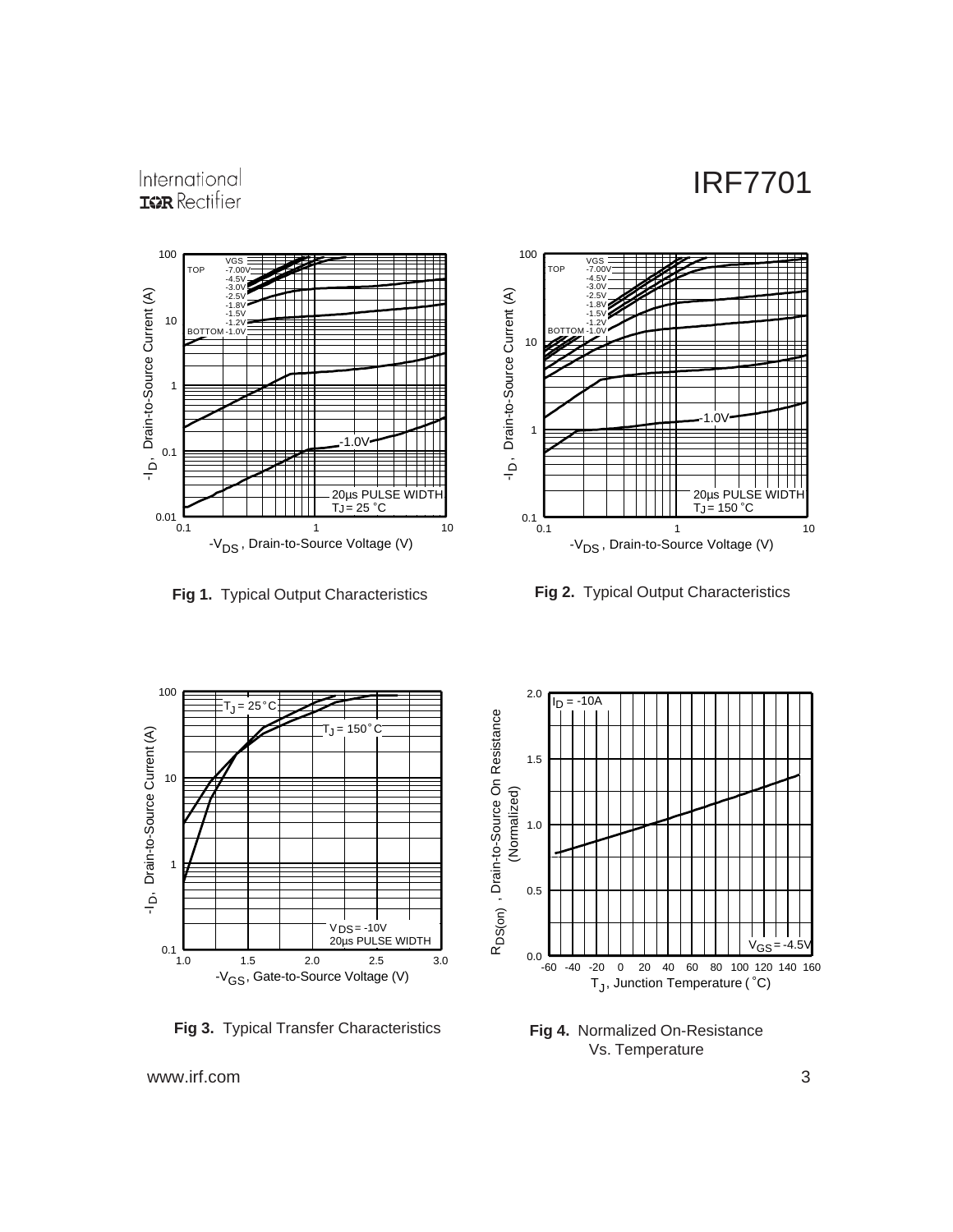### International **ISPR** Rectifier





**Fig 1.** Typical Output Characteristics **Fig 2.** Typical Output Characteristics



**Fig 3.** Typical Transfer Characteristics



**Fig 4.** Normalized On-Resistance Vs. Temperature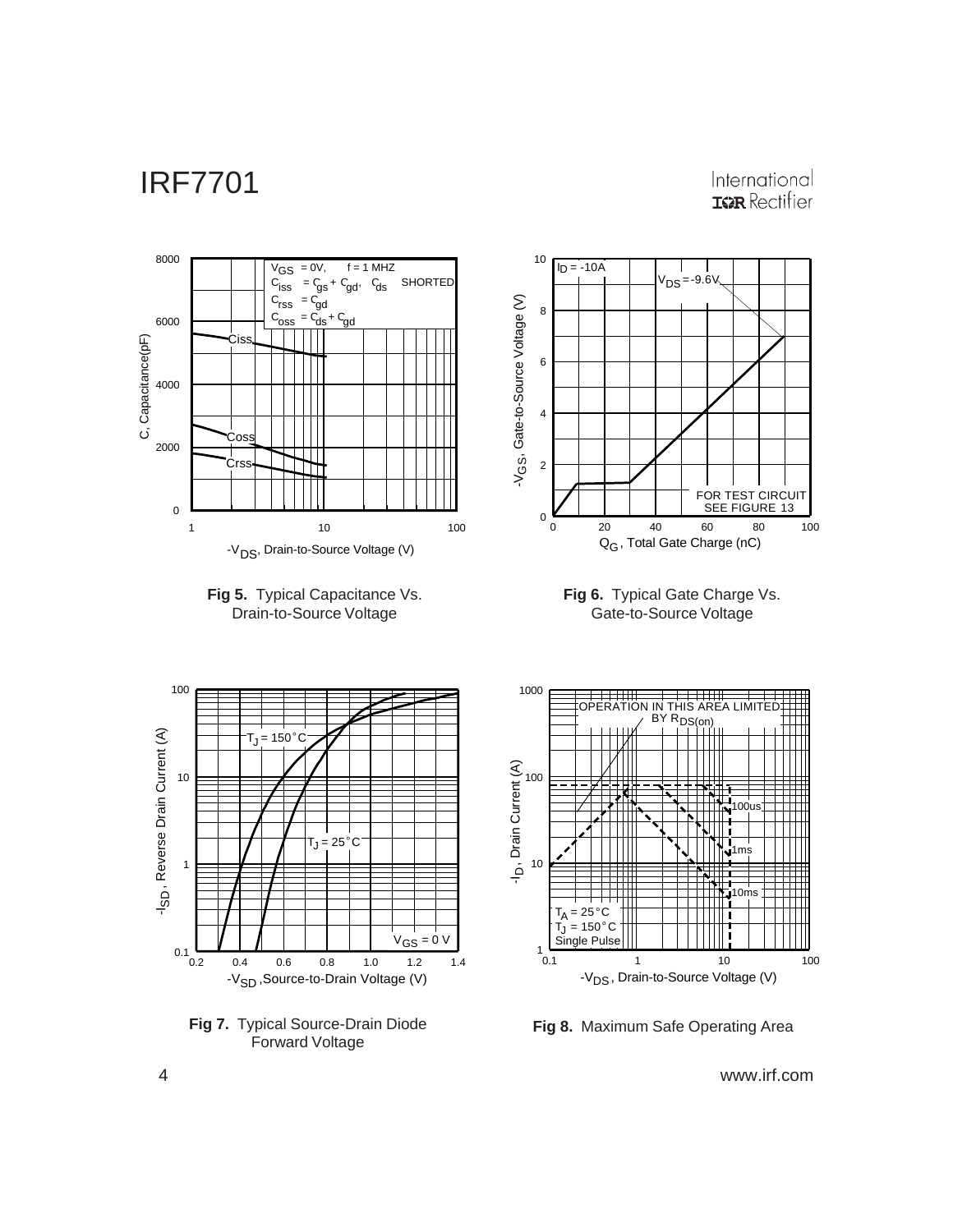### International **IGR** Rectifier









**Fig 8.** Maximum Safe Operating Area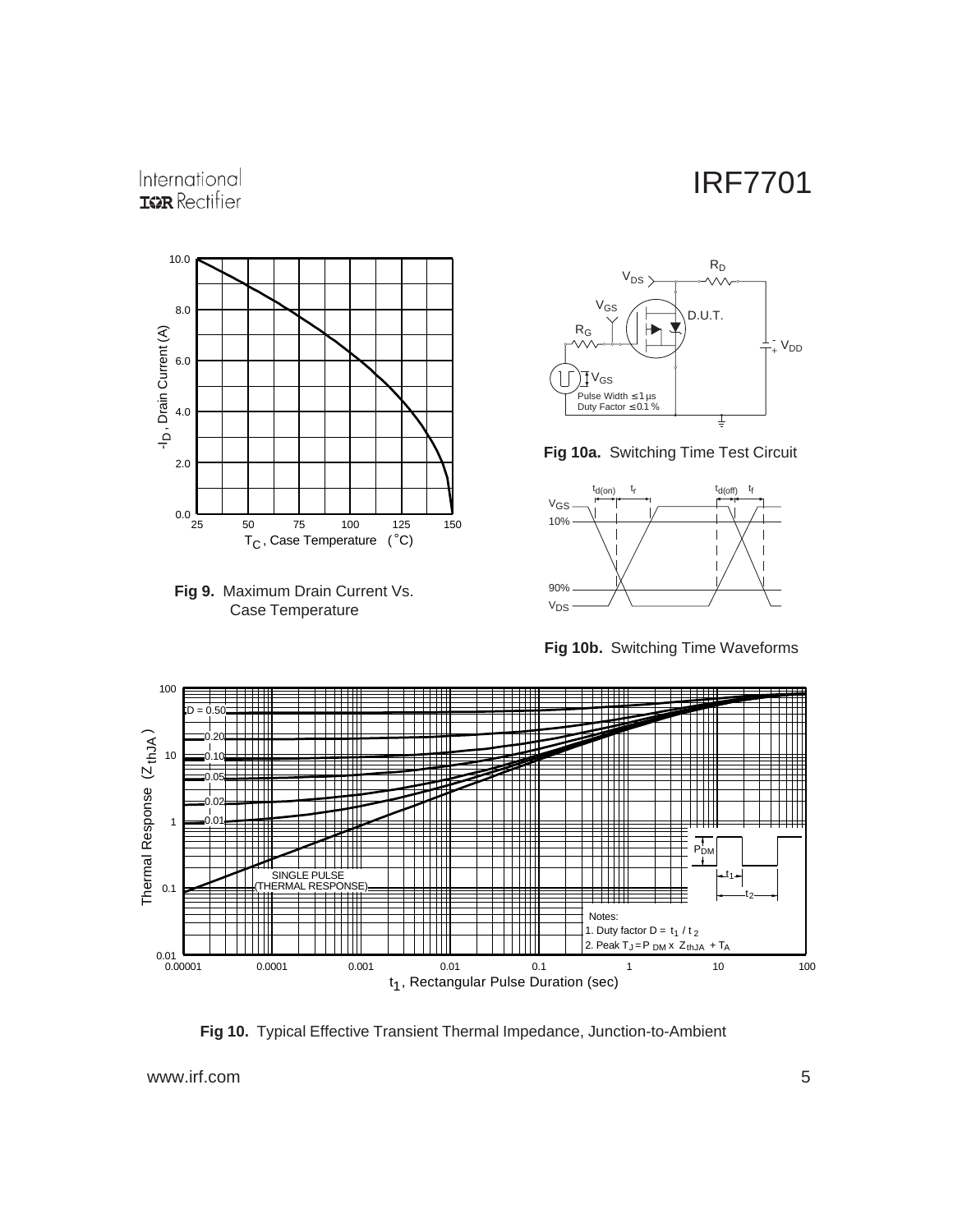### International **IGR** Rectifier











**Fig 10b.** Switching Time Waveforms



**Fig 10.** Typical Effective Transient Thermal Impedance, Junction-to-Ambient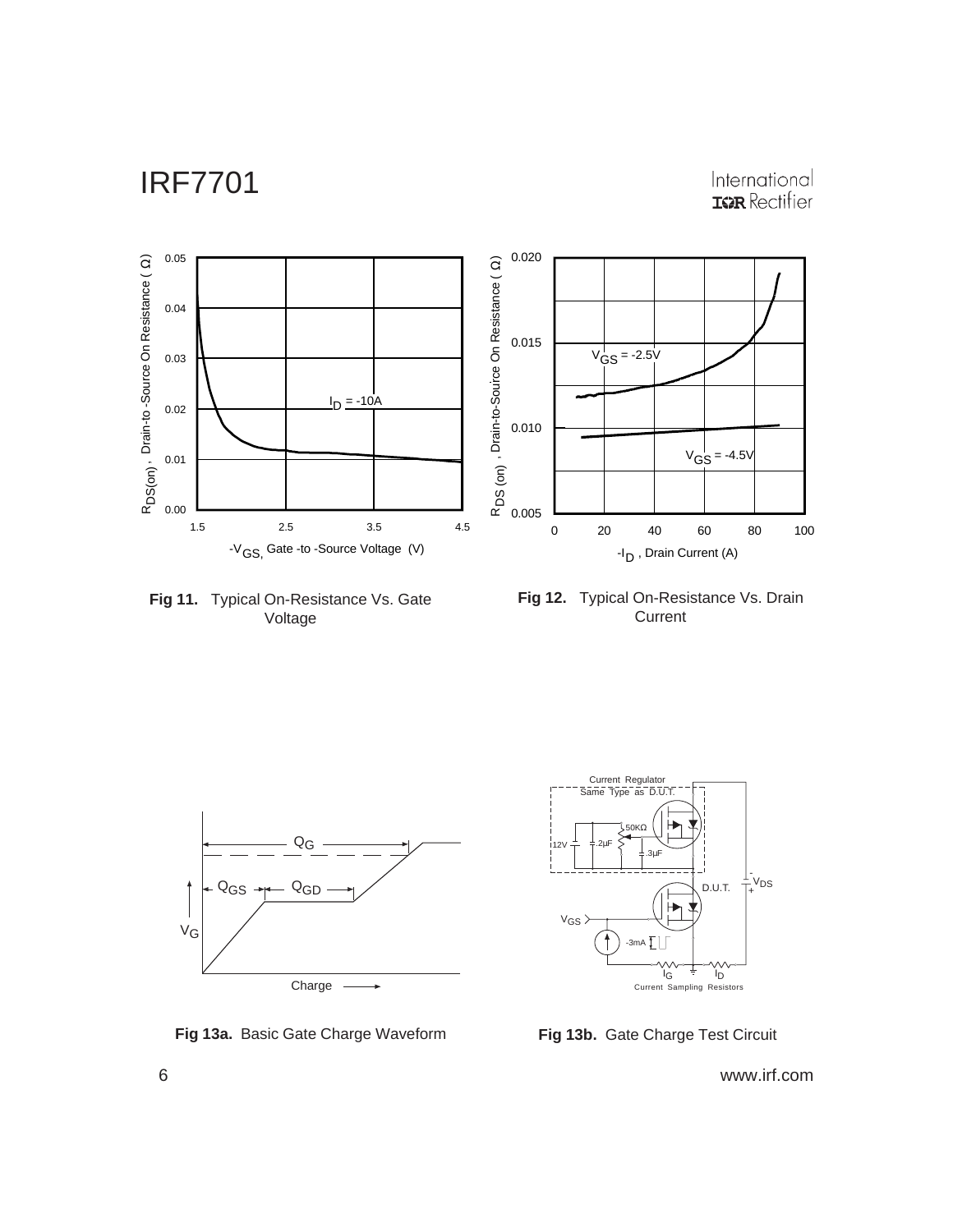International<br> **ISR** Rectifier



**Fig 11.** Typical On-Resistance Vs. Gate Voltage





**Fig 13a.** Basic Gate Charge Waveform **Fig 13b.** Gate Charge Test Circuit

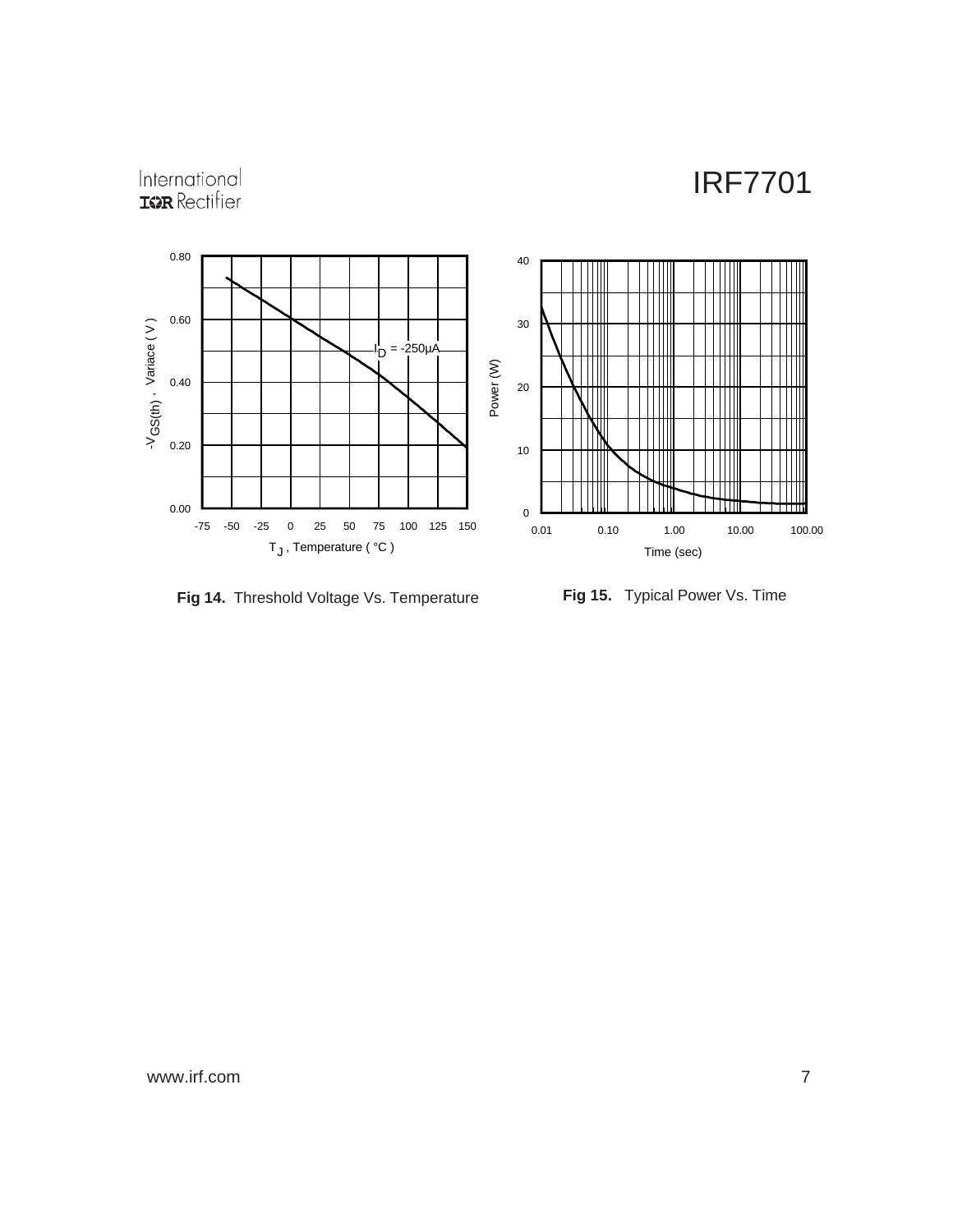# International<br>**IGR** Rectifier



**Fig 14.** Threshold Voltage Vs. Temperature **Fig 15.** Typical Power Vs. Time

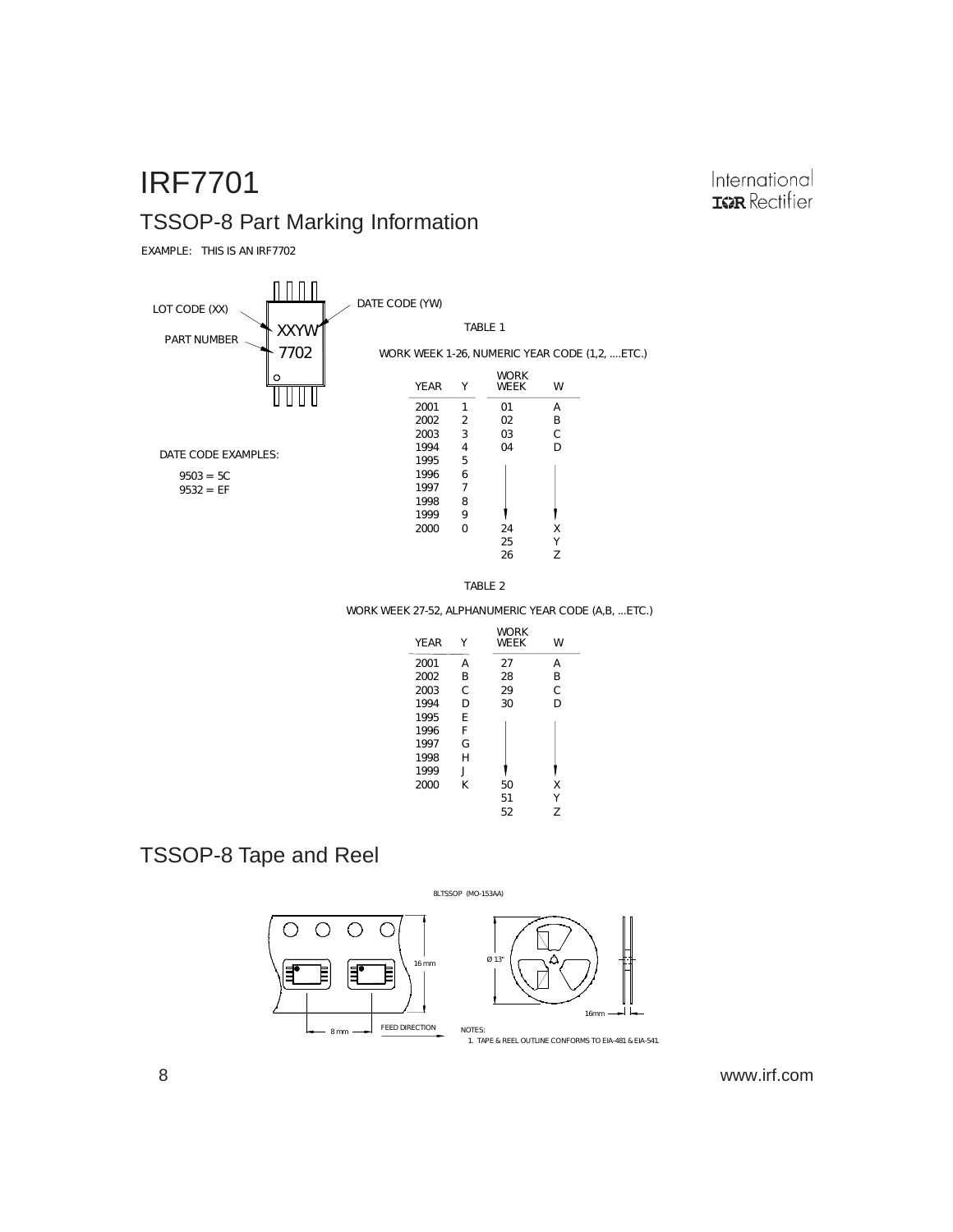## IRF7701 TSSOP-8 Part Marking Information

EXAMPLE: THIS IS AN IRF7702





WORK WEEK 27-52, ALPHANUMERIC YEAR CODE (A,B, ...ETC.)

| YF AR | Υ            | <b>WORK</b><br><b>WFFK</b> | W |
|-------|--------------|----------------------------|---|
| 2001  | A            | 27                         | А |
| 2002  | B            | 28                         | R |
| 2003  | C            | 29                         | C |
| 1994  | D            | 30                         | D |
| 1995  | F            |                            |   |
| 1996  | F            |                            |   |
| 1997  | G            |                            |   |
| 1998  | H            |                            |   |
| 1999  | $\mathbf{I}$ |                            |   |
| 2000  | K            | 50                         | Χ |
|       |              | 51                         | γ |
|       |              | 52                         | 7 |

### TSSOP-8 Tape and Reel



8 www.irf.com

International **IGR** Rectifier